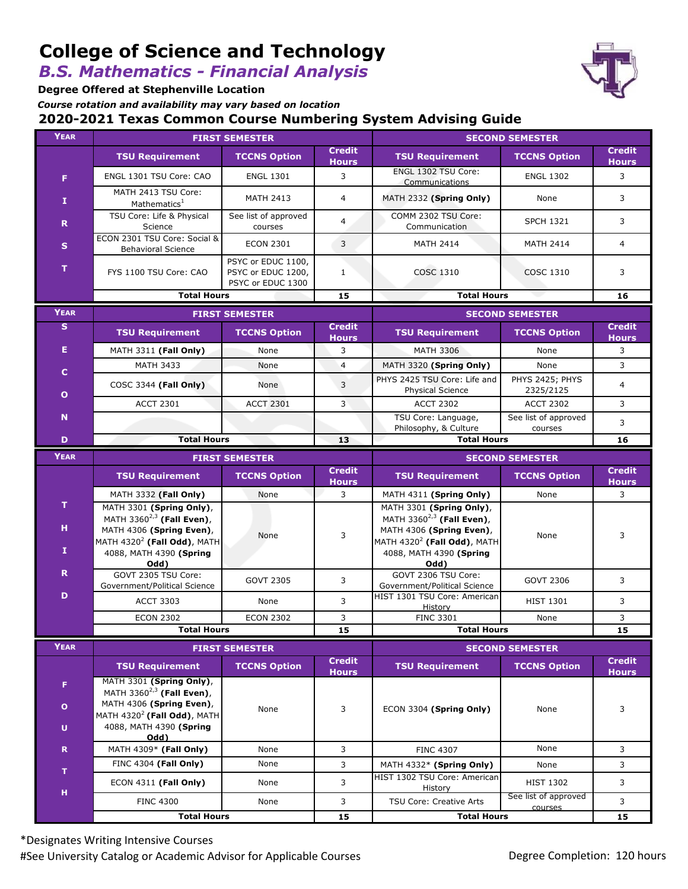# **College of Science and Technology**

*B.S. Mathematics - Financial Analysis*

**Degree Offered at Stephenville Location**

*Course rotation and availability may vary based on location*

#### **2020-2021 Texas Common Course Numbering System Advising Guide**

| <b>YEAR</b>                     | <b>FIRST SEMESTER</b>                                                                                                                                              |                                                               |                               | <b>SECOND SEMESTER</b>                                                                                                                                              |                                 |                               |
|---------------------------------|--------------------------------------------------------------------------------------------------------------------------------------------------------------------|---------------------------------------------------------------|-------------------------------|---------------------------------------------------------------------------------------------------------------------------------------------------------------------|---------------------------------|-------------------------------|
|                                 | <b>TSU Requirement</b>                                                                                                                                             | <b>TCCNS Option</b>                                           | <b>Credit</b><br><b>Hours</b> | <b>TSU Requirement</b>                                                                                                                                              | <b>TCCNS Option</b>             | <b>Credit</b><br><b>Hours</b> |
| F                               | ENGL 1301 TSU Core: CAO                                                                                                                                            | <b>ENGL 1301</b>                                              | 3                             | ENGL 1302 TSU Core:<br>Communications                                                                                                                               | <b>ENGL 1302</b>                | 3                             |
| 1                               | MATH 2413 TSU Core:<br>Mathematics <sup>1</sup>                                                                                                                    | <b>MATH 2413</b>                                              | $\overline{4}$                | MATH 2332 (Spring Only)                                                                                                                                             | None                            | 3                             |
| $\mathbf R$                     | TSU Core: Life & Physical<br>Science                                                                                                                               | See list of approved<br>courses                               | $\overline{4}$                | COMM 2302 TSU Core:<br>Communication                                                                                                                                | <b>SPCH 1321</b>                | 3                             |
| $\mathbf{s}$                    | ECON 2301 TSU Core: Social &<br><b>Behavioral Science</b>                                                                                                          | <b>ECON 2301</b>                                              | 3                             | <b>MATH 2414</b>                                                                                                                                                    | <b>MATH 2414</b>                | $\overline{4}$                |
| T                               | FYS 1100 TSU Core: CAO                                                                                                                                             | PSYC or EDUC 1100,<br>PSYC or EDUC 1200,<br>PSYC or EDUC 1300 | $\mathbf{1}$                  | <b>COSC 1310</b>                                                                                                                                                    | <b>COSC 1310</b>                | 3                             |
|                                 | <b>Total Hours</b>                                                                                                                                                 |                                                               | 15                            | <b>Total Hours</b>                                                                                                                                                  |                                 | 16                            |
| <b>YEAR</b>                     | <b>FIRST SEMESTER</b>                                                                                                                                              |                                                               |                               | <b>SECOND SEMESTER</b>                                                                                                                                              |                                 |                               |
| S                               | <b>TSU Requirement</b>                                                                                                                                             | <b>TCCNS Option</b>                                           | <b>Credit</b><br><b>Hours</b> | <b>TSU Requirement</b>                                                                                                                                              | <b>TCCNS Option</b>             | <b>Credit</b><br><b>Hours</b> |
| Е                               | MATH 3311 (Fall Only)                                                                                                                                              | None                                                          | 3                             | <b>MATH 3306</b>                                                                                                                                                    | None                            | 3                             |
| $\mathbf{C}$                    | <b>MATH 3433</b>                                                                                                                                                   | None                                                          | $\overline{4}$                | MATH 3320 (Spring Only)                                                                                                                                             | None                            | 3                             |
| $\mathbf{o}$                    | COSC 3344 (Fall Only)                                                                                                                                              | None                                                          | 3                             | PHYS 2425 TSU Core: Life and<br><b>Physical Science</b>                                                                                                             | PHYS 2425; PHYS<br>2325/2125    | $\overline{4}$                |
|                                 | <b>ACCT 2301</b>                                                                                                                                                   | <b>ACCT 2301</b>                                              | $\overline{3}$                | <b>ACCT 2302</b>                                                                                                                                                    | <b>ACCT 2302</b>                | 3                             |
| $\mathbf N$                     |                                                                                                                                                                    |                                                               |                               | TSU Core: Language,<br>Philosophy, & Culture                                                                                                                        | See list of approved<br>courses | 3                             |
| D                               | <b>Total Hours</b>                                                                                                                                                 |                                                               | 13                            |                                                                                                                                                                     | <b>Total Hours</b>              |                               |
| <b>YEAR</b>                     | <b>FIRST SEMESTER</b>                                                                                                                                              |                                                               |                               | <b>SECOND SEMESTER</b>                                                                                                                                              |                                 |                               |
|                                 | <b>TSU Requirement</b>                                                                                                                                             | <b>TCCNS Option</b>                                           | <b>Credit</b><br><b>Hours</b> | <b>TSU Requirement</b>                                                                                                                                              | <b>TCCNS Option</b>             | <b>Credit</b><br><b>Hours</b> |
|                                 |                                                                                                                                                                    |                                                               |                               |                                                                                                                                                                     |                                 |                               |
|                                 | MATH 3332 (Fall Only)                                                                                                                                              | None                                                          | 3                             | MATH 4311 (Spring Only)                                                                                                                                             | None                            | 3                             |
| $\mathbf T$<br>н<br>$\mathbf I$ | MATH 3301 (Spring Only),<br>MATH 3360 $^{2,3}$ (Fall Even),<br>MATH 4306 (Spring Even),<br>MATH $4320^2$ (Fall Odd), MATH<br>4088, MATH 4390 (Spring               | None                                                          | 3                             | MATH 3301 (Spring Only),<br>MATH 3360 <sup>2,3</sup> (Fall Even),<br>MATH 4306 (Spring Even),<br>MATH 4320 <sup>2</sup> (Fall Odd), MATH<br>4088, MATH 4390 (Spring | None                            | 3                             |
| $\mathbf R$                     | Odd)<br>GOVT 2305 TSU Core:                                                                                                                                        | <b>GOVT 2305</b>                                              | 3                             | Odd)<br>GOVT 2306 TSU Core:<br>Government/Political Science                                                                                                         | <b>GOVT 2306</b>                | 3                             |
| D                               | Government/Political Science<br><b>ACCT 3303</b>                                                                                                                   | None                                                          | 3                             | HIST 1301 TSU Core: American<br><b>History</b>                                                                                                                      | <b>HIST 1301</b>                | 3                             |
|                                 | <b>ECON 2302</b>                                                                                                                                                   | <b>ECON 2302</b>                                              | 3                             | <b>FINC 3301</b>                                                                                                                                                    | None                            | 3                             |
|                                 | <b>Total Hours</b>                                                                                                                                                 |                                                               | 15                            | <b>Total Hours</b>                                                                                                                                                  |                                 | 15                            |
| <b>YEAR</b>                     |                                                                                                                                                                    | <b>FIRST SEMESTER</b>                                         |                               |                                                                                                                                                                     | <b>SECOND SEMESTER</b>          |                               |
|                                 | <b>TSU Requirement</b>                                                                                                                                             | <b>TCCNS Option</b>                                           | <b>Credit</b><br><b>Hours</b> | <b>TSU Requirement</b>                                                                                                                                              | <b>TCCNS Option</b>             | <b>Credit</b><br><b>Hours</b> |
| F<br>$\mathbf{o}$<br>U          | MATH 3301 (Spring Only),<br>MATH 3360 <sup>2,3</sup> (Fall Even),<br>MATH 4306 (Spring Even),<br>MATH $4320^2$ (Fall Odd), MATH<br>4088, MATH 4390 (Spring<br>Odd) | None                                                          | 3                             | ECON 3304 (Spring Only)                                                                                                                                             | None                            | 3                             |
| $\mathbf R$                     | MATH 4309* (Fall Only)                                                                                                                                             | None                                                          | 3                             | <b>FINC 4307</b>                                                                                                                                                    | None                            | 3                             |
|                                 | FINC 4304 (Fall Only)                                                                                                                                              | None                                                          | 3                             | MATH 4332* (Spring Only)                                                                                                                                            | None                            | 3                             |
| т                               | ECON 4311 (Fall Only)                                                                                                                                              | None                                                          | 3                             | HIST 1302 TSU Core: American<br>History                                                                                                                             | <b>HIST 1302</b>                | 3                             |
| н                               | <b>FINC 4300</b>                                                                                                                                                   | None                                                          | 3                             | TSU Core: Creative Arts                                                                                                                                             | See list of approved<br>courses | 3                             |

\*Designates Writing Intensive Courses #See University Catalog or Academic Advisor for Applicable Courses **Degree Completion: 120 hours**